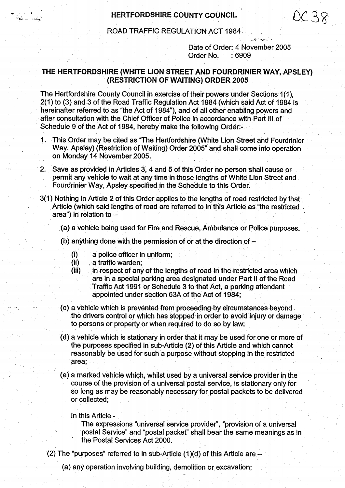## HERTFORDSHIRE COUNTY COUNCIL  $OC 38$

ROAD TRAFFIC REGULATION ACT 1984.

Date of Order: 4 November 2005 Order No. : 6909

## THE HERTFORDSHIRE (WHITE LION STREET **AND FOURDRINIER** WAY, APSLEY) (RESTRICTION OF WAITING) **ORDER 2005**

The Hertfordshire County Council in exercise of their powers under Sections 1(1), 2(1) to (3) and 3 of the Road Traffic Regulation Act 1984 (which said Act of 1984 is hereinafter referred to as "the Act of 1984"), and of all other enabling powers and after consultation with the Chief Officer of Police in accordance with Part III of Schedule 9 of the Act of 1984, hereby make the following Order:-

- <sup>1</sup> This Order may be cited as "The Hertfordshire (White Lion Street and Fourdrinier Way, Apsley) (Restriction of Waiting) Order 2005" and shall come into operation on. Monday 14 November 2005.
- 2. Save as provided in Articles 3, 4 and 5 of this Order no person shall cause or permit any vehicle to wait at any time in those lengths of White Lion Street and Fourdrinier Way, Apsley specified in the Schedule to this Order.
- 3(1) Nothing in Article 2 of this Order applies to the lengths of road restricted by that Article (which said lengths of road are referred to in this Article as "the restricted **area**") in relation to
	- .(a) a vehicle being used for Fire and Rescue, Ambulance or Police purposes.
	- (b) anything done with the permission of or at the direction of
		- (i) a police officer in uniform;
		- (ii) a traffic warden;

أأتطب المستنقية

- $(iii)$  in respect of any of the lengths of road in the restricted area which **are in** a special p**arking area** designated under Part II of the Road Traffic Act 1991 or Schedule 3 to that Act, a parking attendant appointed under section 63A of the Act of 1984;
- (c) a vehicle which is prevented from proceeding-by circumstances beyond . the drivers control or which has stopped in order to avoid injury or damage to. persons or property or when required to do so by law;
- (d) a vehicle which is stationary in order that it may be used for one or more of the purposes specified in sub-Article (2) of this Article and which cannot reasonably be used for such a purpose without stopping in the restricted **area;**
- (e) a marked vehicle which, whilst used by a universal service provider in the course of the provision of a universal postal service, is stationary only for so long as may be reasonably necessary for postal packets to be delivered or collected;

## In this Article

The expressions "universal service provider", "provision of a universal postal Service" and "postal packet" shall bear the same meanings as in the Postal Services Act 2000.

- (2) The "purposes" referred to in sub-Article  $(1)(d)$  of this Article are  $-$ 
	- (a) any operation involving building, demolition or excavation;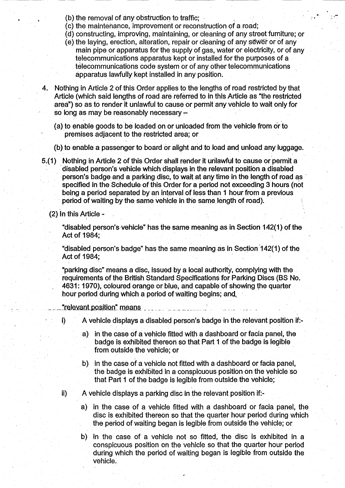- (b) the removal of any obstruction to traffic;
- (c) the maintenance, improvement or reconstruction of a road;
- (d) constructing, improving, maintaining, or cleaning of any street furniture; or
- (e) the laying, erection, alteration, repair or cleaning of any sewer or of any main pipe or apparatus for the supply of gas, water or electricity, or of any telecommunications apparatus kept or installed for the purposes of a telecommunications code system or of any other telecommunications apparatus lawfully kept installed in any position.
- 4. Nothing in Article 2 of this Order applies to the lengths of road restricted by that Article (which said lengths of road are referred to in this Article as "the restricted **area"**) **so as** to render it unlawful to cause or permit any vehicle to wait only for so long as may be reasonably necessary -
	- **(a) to enable goods to, be loaded on or unloaded from the vehicle from or to premises adjacent to the restricted area; or**
	- (**b) to enable a passenger to board or alight and to load and unload any luggage.**
- **5.(1) Nothing in Article 2 of this Order shall render it unlawful to cause or permit a disabled person**'**s vehicle which displays in the relevant position a disabled person's badge and a parking disc, to wait at any time in the length of road as specified in the Schedule of this Order for a period not exceeding 3 hours (not being a period separated by an interval of less than 1 hour from a previous** period of waiting by the same vehicle in the same length of road).
	- (2) In this Article -

**"disabled person's vehicle" has the same meaning as in Section 1** .**42(1) of the** Act of 1984;

**"disabled person** '**s badge**" **has the same meaning as in Section 142(1) of the** Act of 1984;

"parking disc" means a disc, issued by a local authority, complying with the **requirements of the British Standard Specifications for Parking Discs (BS No. 4631** : **1970**), **coloured orange or blue, and**. **capable of showing the quarter hour period during** which **a period of waiting begins; and**.

"relevant position" means

- **i) A vehicle displays a disabled person's badge in the relevant position if**:
	- a) in the case of a vehicle fitted with a dashboard or facia panel, the badge is exhibited thereon so that Part 1 of the badge is legible from outside the vehicle; or
	- b) in the case of a vehicle not fitted with a dashboard or facia panel, the badge is exhibited in a conspicuous position on the vehicle so that Part 1 of the badge is legible from outside the vehicle;
- ii) A vehicle displays a parking disc in the relevant position if:
	- a) in the case of a vehicle fitted with a dashboard or facia panel, the disc is exhibited'thereon so that the quarter hour period during which the period of waiting began is legible from outside the vehicle; or
	- b) in the case of a vehicle not so fitted, the disc is exhibited in a conspicuous position on the vehicle so that the quarter hour period during which the period of waiting began is legible from outside the vehicle.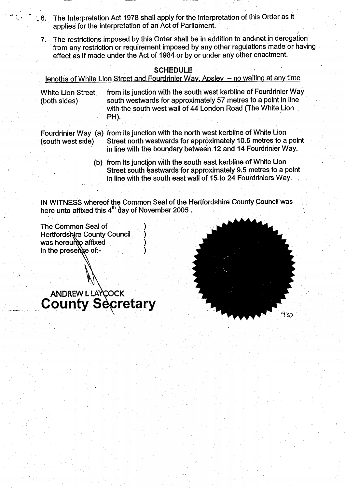- 6. The Interpretation Act 1978 shall apply for the interpretation of this Order as it applies for the interpretation of an Act of Parliament.
	- 7. The restrictions imposed by this Order shall be in addition to and not in derogation from any restriction or requirement imposed by any other regulations made or having effect as if made under the Act of 1984 or by or under any other enactment.

## **SCHEDULE**

lengths of White Lion Street and Fourdrinier Way, Apsley - no waiting at any time

White Lion Street from its junction with the south west kerbline of Fourdrinier Way (both sides) south westwards for approximately 57 metres to a point in line with the south west wall of 44 London Road (The White Lion PH).

Fourdrinier Way (a) from its junction with the north west kerbline of White Lion (south west side) Street north westwards for approximately 10.5 metres to a point in line with the boundary between 12 and 14 Fourdrinier Way.

> (b) from its junction with the south east kerbline of White Lion Street south eastwards for approximately 9.5 metres to a point in line with the' south **east** wall of 15- to 24 Fourdriniers Way.

IN WITNESS whereof the Common Seal of the Hertfordshire County Council was here unto affixed this  $4<sup>th</sup>$  day of November 2005.

The Common Seal of ) Hertfordshire County Council was hereunto affixed in the presence of:-

ANDREW L LAYCOCK